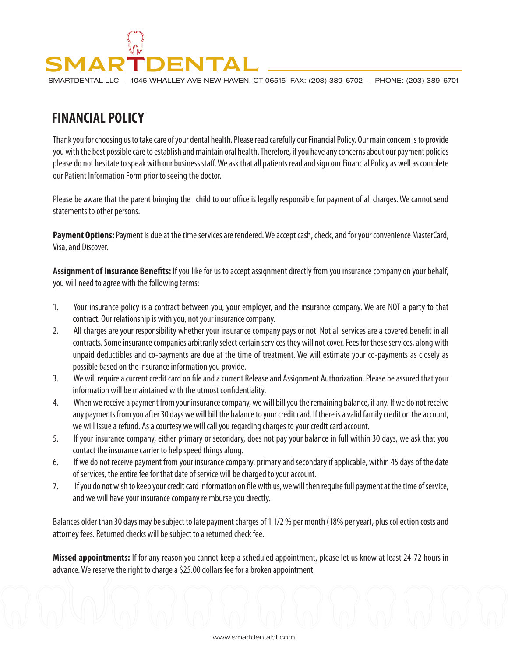## **SMARTDENTAL**

SMARTDENTAL LLC - 1045 WHALLEY AVE NEW HAVEN, CT 06515 FAX: (203) 389-6702 - PHONE: (203) 389-6701

## **FINANCIAL POLICY**

Thank you for choosing us to take care of your dental health. Please read carefully our Financial Policy. Our main concern is to provide you with the best possible care to establish and maintain oral health. Therefore, if you have any concerns about our payment policies please do not hesitate to speak with our business staff. We ask that all patients read and sign our Financial Policy as well as complete our Patient Information Form prior to seeing the doctor.

Please be aware that the parent bringing the child to our office is legally responsible for payment of all charges. We cannot send statements to other persons.

**Payment Options:** Payment is due at the time services are rendered. We accept cash, check, and for your convenience MasterCard, Visa, and Discover.

**Assignment of Insurance Benets:** If you like for us to accept assignment directly from you insurance company on your behalf, you will need to agree with the following terms:

- 1. Your insurance policy is a contract between you, your employer, and the insurance company. We are NOT a party to that contract. Our relationship is with you, not your insurance company.
- 2. All charges are your responsibility whether your insurance company pays or not. Not all services are a covered benefit in all contracts. Some insurance companies arbitrarily select certain services they will not cover. Fees for these services, along with unpaid deductibles and co-payments are due at the time of treatment. We will estimate your co-payments as closely as possible based on the insurance information you provide.
- 3. We will require a current credit card on file and a current Release and Assignment Authorization. Please be assured that your information will be maintained with the utmost confidentiality.
- 4. When we receive a payment from your insurance company, we will bill you the remaining balance, if any. If we do not receive any payments from you after 30 days we will bill the balance to your credit card. If there is a valid family credit on the account, we will issue a refund. As a courtesy we will call you regarding charges to your credit card account.
- 5. If your insurance company, either primary or secondary, does not pay your balance in full within 30 days, we ask that you contact the insurance carrier to help speed things along.
- 6. If we do not receive payment from your insurance company, primary and secondary if applicable, within 45 days of the date of services, the entire fee for that date of service will be charged to your account.
- 7. If you do not wish to keep your credit card information on file with us, we will then require full payment at the time of service, and we will have your insurance company reimburse you directly.

Balances older than 30 days may be subject to late payment charges of 1 1/2 % per month (18% per year), plus collection costs and attorney fees. Returned checks will be subject to a returned check fee.

**Missed appointments:** If for any reason you cannot keep a scheduled appointment, please let us know at least 24-72 hours in advance. We reserve the right to charge a \$25.00 dollars fee for a broken appointment.